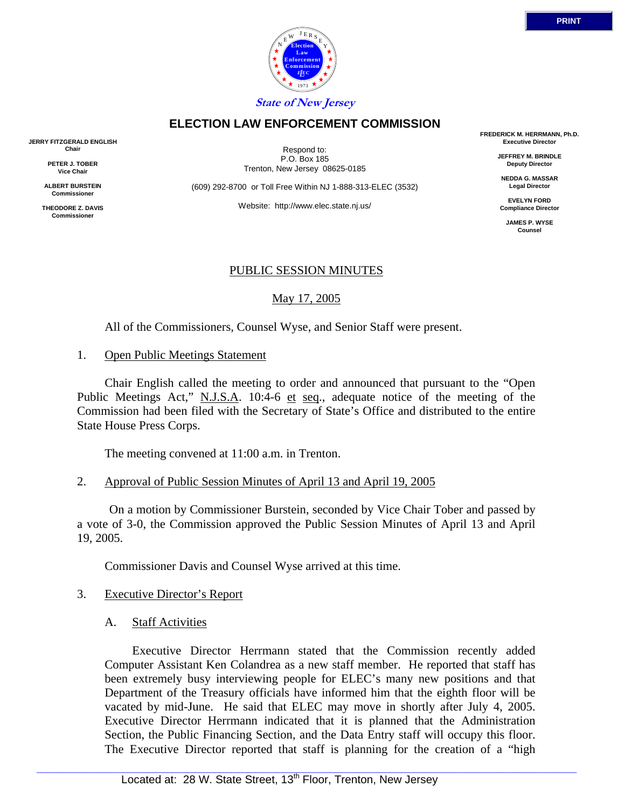

### 3. Executive Director's Report

A. Staff Activities

 Executive Director Herrmann stated that the Commission recently added Computer Assistant Ken Colandrea as a new staff member. He reported that staff has been extremely busy interviewing people for ELEC's many new positions and that Department of the Treasury officials have informed him that the eighth floor will be vacated by mid-June. He said that ELEC may move in shortly after July 4, 2005. Executive Director Herrmann indicated that it is planned that the Administration Section, the Public Financing Section, and the Data Entry staff will occupy this floor. The Executive Director reported that staff is planning for the creation of a "high

**JERRY FITZGERALD ENGLISH Chair**

> **PETER J. TOBER Vice Chair**

**ALBERT BURSTEIN Commissioner**

**THEODORE Z. DAVIS Commissione** 

Respond to: P.O. Box 185 Trenton, New Jersey 08625-0185

(609) 292-8700 or Toll Free Within NJ 1-888-313-ELEC (3532)

Website: http://www.elec.state.nj.us/

# PUBLIC SESSION MINUTES

May 17, 2005

All of the Commissioners, Counsel Wyse, and Senior Staff were present.

1. Open Public Meetings Statement

 Chair English called the meeting to order and announced that pursuant to the "Open Public Meetings Act," N.J.S.A. 10:4-6 et seq., adequate notice of the meeting of the Commission had been filed with the Secretary of State's Office and distributed to the entire State House Press Corps.

The meeting convened at 11:00 a.m. in Trenton.

### 2. Approval of Public Session Minutes of April 13 and April 19, 2005

 On a motion by Commissioner Burstein, seconded by Vice Chair Tober and passed by a vote of 3-0, the Commission approved the Public Session Minutes of April 13 and April 19, 2005.

Commissioner Davis and Counsel Wyse arrived at this time.



**FREDERICK M. HERRMANN, Ph.D. Executive Director**

> **JEFFREY M. BRINDLE Deputy Director**

**NEDDA G. MASSAR Legal Director**

**EVELYN FORD Compliance Director**

> **JAMES P. WYSE Counsel**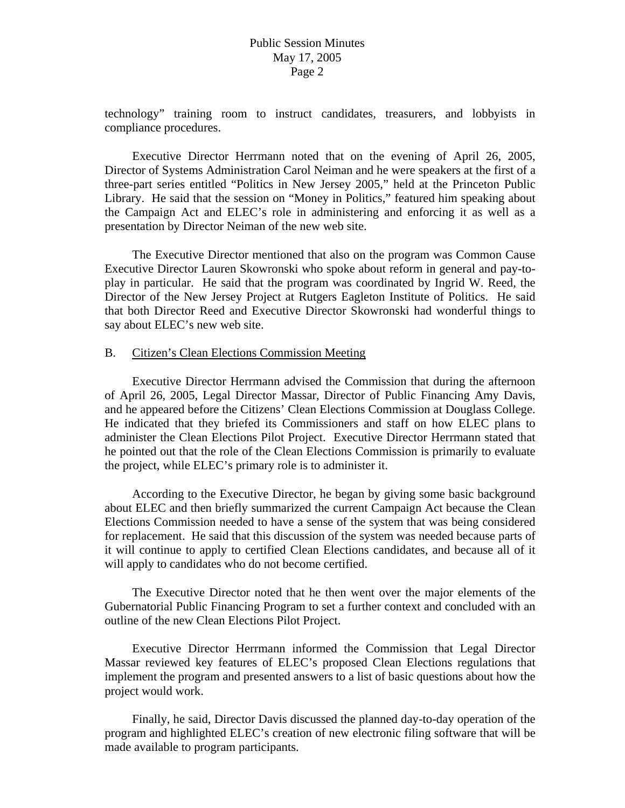technology" training room to instruct candidates, treasurers, and lobbyists in compliance procedures.

 Executive Director Herrmann noted that on the evening of April 26, 2005, Director of Systems Administration Carol Neiman and he were speakers at the first of a three-part series entitled "Politics in New Jersey 2005," held at the Princeton Public Library. He said that the session on "Money in Politics," featured him speaking about the Campaign Act and ELEC's role in administering and enforcing it as well as a presentation by Director Neiman of the new web site.

 The Executive Director mentioned that also on the program was Common Cause Executive Director Lauren Skowronski who spoke about reform in general and pay-toplay in particular. He said that the program was coordinated by Ingrid W. Reed, the Director of the New Jersey Project at Rutgers Eagleton Institute of Politics. He said that both Director Reed and Executive Director Skowronski had wonderful things to say about ELEC's new web site.

### B. Citizen's Clean Elections Commission Meeting

 Executive Director Herrmann advised the Commission that during the afternoon of April 26, 2005, Legal Director Massar, Director of Public Financing Amy Davis, and he appeared before the Citizens' Clean Elections Commission at Douglass College. He indicated that they briefed its Commissioners and staff on how ELEC plans to administer the Clean Elections Pilot Project. Executive Director Herrmann stated that he pointed out that the role of the Clean Elections Commission is primarily to evaluate the project, while ELEC's primary role is to administer it.

 According to the Executive Director, he began by giving some basic background about ELEC and then briefly summarized the current Campaign Act because the Clean Elections Commission needed to have a sense of the system that was being considered for replacement. He said that this discussion of the system was needed because parts of it will continue to apply to certified Clean Elections candidates, and because all of it will apply to candidates who do not become certified.

 The Executive Director noted that he then went over the major elements of the Gubernatorial Public Financing Program to set a further context and concluded with an outline of the new Clean Elections Pilot Project.

 Executive Director Herrmann informed the Commission that Legal Director Massar reviewed key features of ELEC's proposed Clean Elections regulations that implement the program and presented answers to a list of basic questions about how the project would work.

 Finally, he said, Director Davis discussed the planned day-to-day operation of the program and highlighted ELEC's creation of new electronic filing software that will be made available to program participants.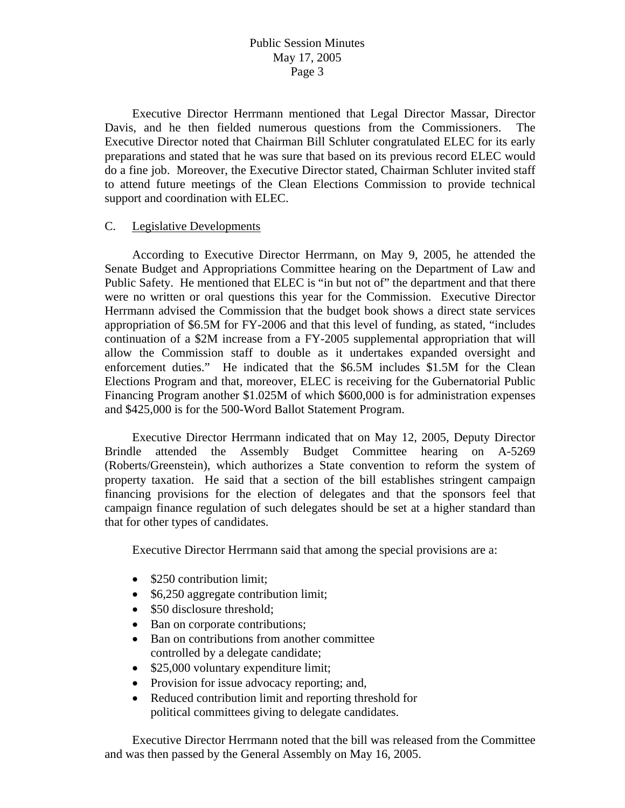Executive Director Herrmann mentioned that Legal Director Massar, Director Davis, and he then fielded numerous questions from the Commissioners. The Executive Director noted that Chairman Bill Schluter congratulated ELEC for its early preparations and stated that he was sure that based on its previous record ELEC would do a fine job. Moreover, the Executive Director stated, Chairman Schluter invited staff to attend future meetings of the Clean Elections Commission to provide technical support and coordination with ELEC.

### C. Legislative Developments

 According to Executive Director Herrmann, on May 9, 2005, he attended the Senate Budget and Appropriations Committee hearing on the Department of Law and Public Safety. He mentioned that ELEC is "in but not of" the department and that there were no written or oral questions this year for the Commission. Executive Director Herrmann advised the Commission that the budget book shows a direct state services appropriation of \$6.5M for FY-2006 and that this level of funding, as stated, "includes continuation of a \$2M increase from a FY-2005 supplemental appropriation that will allow the Commission staff to double as it undertakes expanded oversight and enforcement duties." He indicated that the \$6.5M includes \$1.5M for the Clean Elections Program and that, moreover, ELEC is receiving for the Gubernatorial Public Financing Program another \$1.025M of which \$600,000 is for administration expenses and \$425,000 is for the 500-Word Ballot Statement Program.

 Executive Director Herrmann indicated that on May 12, 2005, Deputy Director Brindle attended the Assembly Budget Committee hearing on A-5269 (Roberts/Greenstein), which authorizes a State convention to reform the system of property taxation. He said that a section of the bill establishes stringent campaign financing provisions for the election of delegates and that the sponsors feel that campaign finance regulation of such delegates should be set at a higher standard than that for other types of candidates.

Executive Director Herrmann said that among the special provisions are a:

- \$250 contribution limit:
- \$6,250 aggregate contribution limit;
- \$50 disclosure threshold;
- Ban on corporate contributions;
- Ban on contributions from another committee controlled by a delegate candidate;
- \$25,000 voluntary expenditure limit;
- Provision for issue advocacy reporting; and,
- Reduced contribution limit and reporting threshold for political committees giving to delegate candidates.

 Executive Director Herrmann noted that the bill was released from the Committee and was then passed by the General Assembly on May 16, 2005.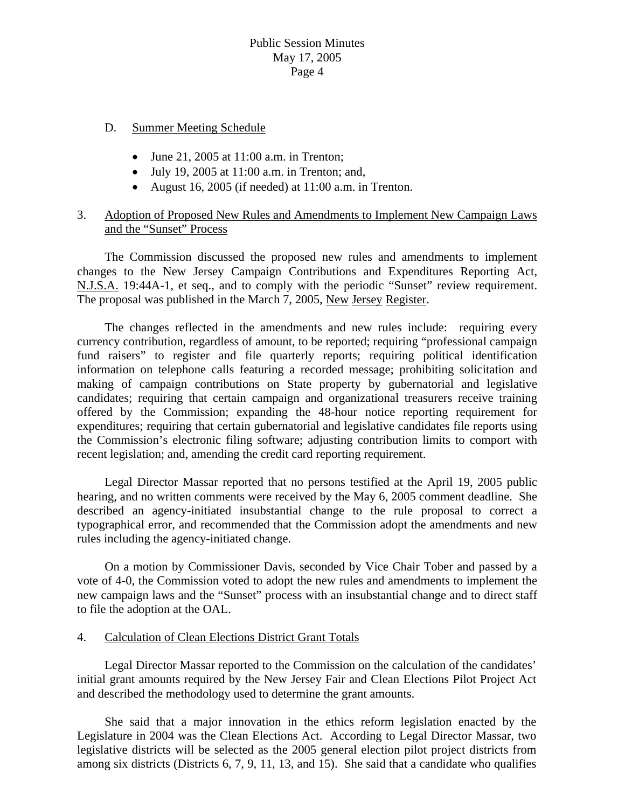### D. Summer Meeting Schedule

- June 21, 2005 at 11:00 a.m. in Trenton;
- July 19, 2005 at 11:00 a.m. in Trenton; and,
- August 16, 2005 (if needed) at 11:00 a.m. in Trenton.

## 3. Adoption of Proposed New Rules and Amendments to Implement New Campaign Laws and the "Sunset" Process

 The Commission discussed the proposed new rules and amendments to implement changes to the New Jersey Campaign Contributions and Expenditures Reporting Act, N.J.S.A. 19:44A-1, et seq., and to comply with the periodic "Sunset" review requirement. The proposal was published in the March 7, 2005, New Jersey Register.

 The changes reflected in the amendments and new rules include: requiring every currency contribution, regardless of amount, to be reported; requiring "professional campaign fund raisers" to register and file quarterly reports; requiring political identification information on telephone calls featuring a recorded message; prohibiting solicitation and making of campaign contributions on State property by gubernatorial and legislative candidates; requiring that certain campaign and organizational treasurers receive training offered by the Commission; expanding the 48-hour notice reporting requirement for expenditures; requiring that certain gubernatorial and legislative candidates file reports using the Commission's electronic filing software; adjusting contribution limits to comport with recent legislation; and, amending the credit card reporting requirement.

 Legal Director Massar reported that no persons testified at the April 19, 2005 public hearing, and no written comments were received by the May 6, 2005 comment deadline. She described an agency-initiated insubstantial change to the rule proposal to correct a typographical error, and recommended that the Commission adopt the amendments and new rules including the agency-initiated change.

 On a motion by Commissioner Davis, seconded by Vice Chair Tober and passed by a vote of 4-0, the Commission voted to adopt the new rules and amendments to implement the new campaign laws and the "Sunset" process with an insubstantial change and to direct staff to file the adoption at the OAL.

### 4. Calculation of Clean Elections District Grant Totals

 Legal Director Massar reported to the Commission on the calculation of the candidates' initial grant amounts required by the New Jersey Fair and Clean Elections Pilot Project Act and described the methodology used to determine the grant amounts.

 She said that a major innovation in the ethics reform legislation enacted by the Legislature in 2004 was the Clean Elections Act. According to Legal Director Massar, two legislative districts will be selected as the 2005 general election pilot project districts from among six districts (Districts 6, 7, 9, 11, 13, and 15). She said that a candidate who qualifies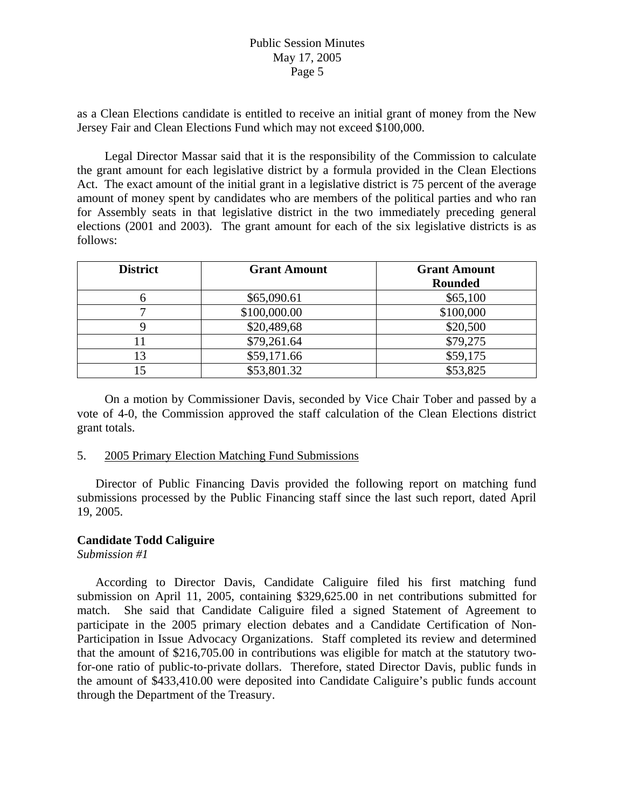as a Clean Elections candidate is entitled to receive an initial grant of money from the New Jersey Fair and Clean Elections Fund which may not exceed \$100,000.

 Legal Director Massar said that it is the responsibility of the Commission to calculate the grant amount for each legislative district by a formula provided in the Clean Elections Act. The exact amount of the initial grant in a legislative district is 75 percent of the average amount of money spent by candidates who are members of the political parties and who ran for Assembly seats in that legislative district in the two immediately preceding general elections (2001 and 2003). The grant amount for each of the six legislative districts is as follows:

| <b>District</b> | <b>Grant Amount</b> | <b>Grant Amount</b> |
|-----------------|---------------------|---------------------|
|                 |                     | <b>Rounded</b>      |
|                 | \$65,090.61         | \$65,100            |
|                 | \$100,000.00        | \$100,000           |
|                 | \$20,489,68         | \$20,500            |
|                 | \$79,261.64         | \$79,275            |
| 13              | \$59,171.66         | \$59,175            |
| .5              | \$53,801.32         | \$53,825            |

 On a motion by Commissioner Davis, seconded by Vice Chair Tober and passed by a vote of 4-0, the Commission approved the staff calculation of the Clean Elections district grant totals.

### 5. 2005 Primary Election Matching Fund Submissions

 Director of Public Financing Davis provided the following report on matching fund submissions processed by the Public Financing staff since the last such report, dated April 19, 2005.

# **Candidate Todd Caliguire**

*Submission #1* 

According to Director Davis, Candidate Caliguire filed his first matching fund submission on April 11, 2005, containing \$329,625.00 in net contributions submitted for match. She said that Candidate Caliguire filed a signed Statement of Agreement to participate in the 2005 primary election debates and a Candidate Certification of Non-Participation in Issue Advocacy Organizations. Staff completed its review and determined that the amount of \$216,705.00 in contributions was eligible for match at the statutory twofor-one ratio of public-to-private dollars. Therefore, stated Director Davis, public funds in the amount of \$433,410.00 were deposited into Candidate Caliguire's public funds account through the Department of the Treasury.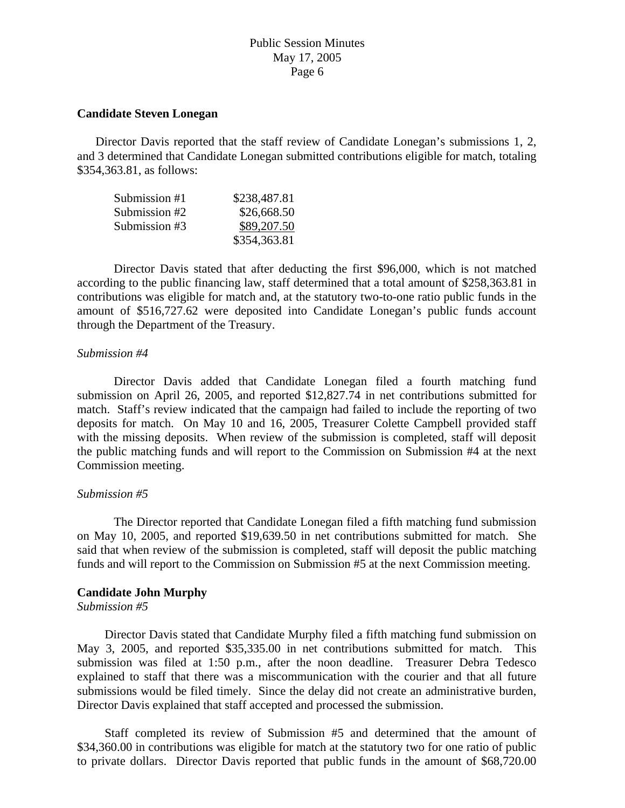#### **Candidate Steven Lonegan**

 Director Davis reported that the staff review of Candidate Lonegan's submissions 1, 2, and 3 determined that Candidate Lonegan submitted contributions eligible for match, totaling \$354,363.81, as follows:

| Submission #1 | \$238,487.81 |
|---------------|--------------|
| Submission #2 | \$26,668.50  |
| Submission #3 | \$89,207.50  |
|               | \$354,363.81 |

 Director Davis stated that after deducting the first \$96,000, which is not matched according to the public financing law, staff determined that a total amount of \$258,363.81 in contributions was eligible for match and, at the statutory two-to-one ratio public funds in the amount of \$516,727.62 were deposited into Candidate Lonegan's public funds account through the Department of the Treasury.

#### *Submission #4*

 Director Davis added that Candidate Lonegan filed a fourth matching fund submission on April 26, 2005, and reported \$12,827.74 in net contributions submitted for match. Staff's review indicated that the campaign had failed to include the reporting of two deposits for match. On May 10 and 16, 2005, Treasurer Colette Campbell provided staff with the missing deposits. When review of the submission is completed, staff will deposit the public matching funds and will report to the Commission on Submission #4 at the next Commission meeting.

### *Submission #5*

 The Director reported that Candidate Lonegan filed a fifth matching fund submission on May 10, 2005, and reported \$19,639.50 in net contributions submitted for match. She said that when review of the submission is completed, staff will deposit the public matching funds and will report to the Commission on Submission #5 at the next Commission meeting.

### **Candidate John Murphy**

#### *Submission #5*

 Director Davis stated that Candidate Murphy filed a fifth matching fund submission on May 3, 2005, and reported \$35,335.00 in net contributions submitted for match. This submission was filed at 1:50 p.m., after the noon deadline. Treasurer Debra Tedesco explained to staff that there was a miscommunication with the courier and that all future submissions would be filed timely. Since the delay did not create an administrative burden, Director Davis explained that staff accepted and processed the submission.

 Staff completed its review of Submission #5 and determined that the amount of \$34,360.00 in contributions was eligible for match at the statutory two for one ratio of public to private dollars. Director Davis reported that public funds in the amount of \$68,720.00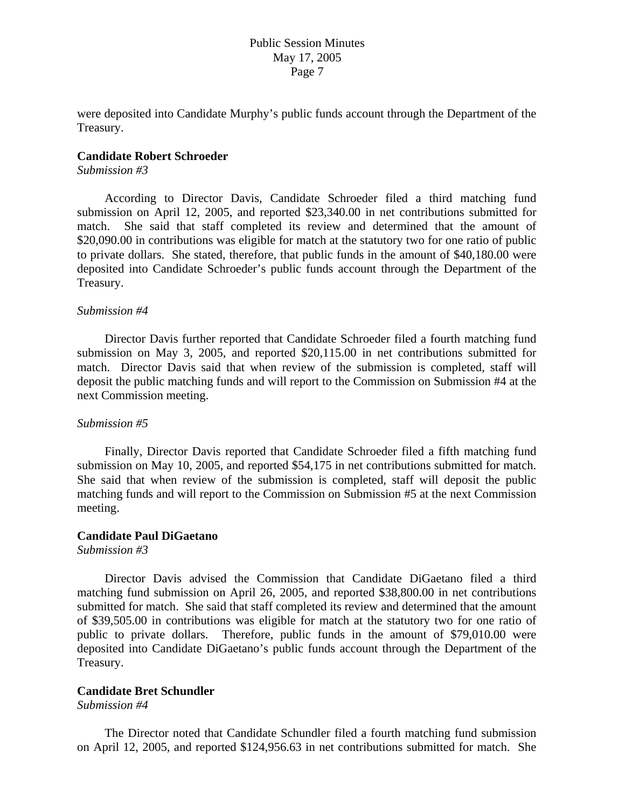were deposited into Candidate Murphy's public funds account through the Department of the Treasury.

#### **Candidate Robert Schroeder**

#### *Submission #3*

 According to Director Davis, Candidate Schroeder filed a third matching fund submission on April 12, 2005, and reported \$23,340.00 in net contributions submitted for match. She said that staff completed its review and determined that the amount of \$20,090.00 in contributions was eligible for match at the statutory two for one ratio of public to private dollars. She stated, therefore, that public funds in the amount of \$40,180.00 were deposited into Candidate Schroeder's public funds account through the Department of the Treasury.

#### *Submission #4*

 Director Davis further reported that Candidate Schroeder filed a fourth matching fund submission on May 3, 2005, and reported \$20,115.00 in net contributions submitted for match. Director Davis said that when review of the submission is completed, staff will deposit the public matching funds and will report to the Commission on Submission #4 at the next Commission meeting.

#### *Submission #5*

 Finally, Director Davis reported that Candidate Schroeder filed a fifth matching fund submission on May 10, 2005, and reported \$54,175 in net contributions submitted for match. She said that when review of the submission is completed, staff will deposit the public matching funds and will report to the Commission on Submission #5 at the next Commission meeting.

#### **Candidate Paul DiGaetano**

*Submission #3* 

 Director Davis advised the Commission that Candidate DiGaetano filed a third matching fund submission on April 26, 2005, and reported \$38,800.00 in net contributions submitted for match. She said that staff completed its review and determined that the amount of \$39,505.00 in contributions was eligible for match at the statutory two for one ratio of public to private dollars. Therefore, public funds in the amount of \$79,010.00 were deposited into Candidate DiGaetano's public funds account through the Department of the Treasury.

## **Candidate Bret Schundler**

#### *Submission #4*

 The Director noted that Candidate Schundler filed a fourth matching fund submission on April 12, 2005, and reported \$124,956.63 in net contributions submitted for match. She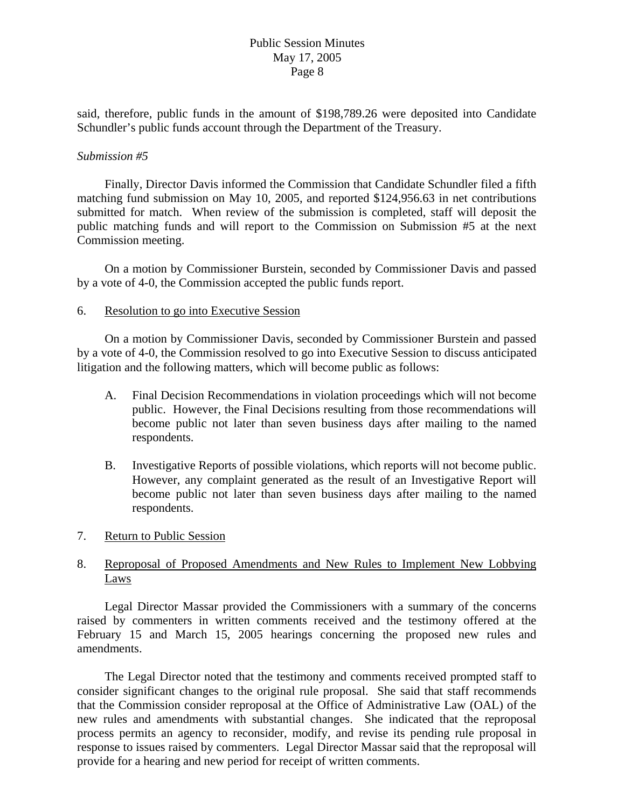said, therefore, public funds in the amount of \$198,789.26 were deposited into Candidate Schundler's public funds account through the Department of the Treasury.

### *Submission #5*

 Finally, Director Davis informed the Commission that Candidate Schundler filed a fifth matching fund submission on May 10, 2005, and reported \$124,956.63 in net contributions submitted for match. When review of the submission is completed, staff will deposit the public matching funds and will report to the Commission on Submission #5 at the next Commission meeting.

 On a motion by Commissioner Burstein, seconded by Commissioner Davis and passed by a vote of 4-0, the Commission accepted the public funds report.

### 6. Resolution to go into Executive Session

 On a motion by Commissioner Davis, seconded by Commissioner Burstein and passed by a vote of 4-0, the Commission resolved to go into Executive Session to discuss anticipated litigation and the following matters, which will become public as follows:

- A. Final Decision Recommendations in violation proceedings which will not become public. However, the Final Decisions resulting from those recommendations will become public not later than seven business days after mailing to the named respondents.
- B. Investigative Reports of possible violations, which reports will not become public. However, any complaint generated as the result of an Investigative Report will become public not later than seven business days after mailing to the named respondents.
- 7. Return to Public Session

# 8. Reproposal of Proposed Amendments and New Rules to Implement New Lobbying Laws

 Legal Director Massar provided the Commissioners with a summary of the concerns raised by commenters in written comments received and the testimony offered at the February 15 and March 15, 2005 hearings concerning the proposed new rules and amendments.

 The Legal Director noted that the testimony and comments received prompted staff to consider significant changes to the original rule proposal. She said that staff recommends that the Commission consider reproposal at the Office of Administrative Law (OAL) of the new rules and amendments with substantial changes. She indicated that the reproposal process permits an agency to reconsider, modify, and revise its pending rule proposal in response to issues raised by commenters. Legal Director Massar said that the reproposal will provide for a hearing and new period for receipt of written comments.